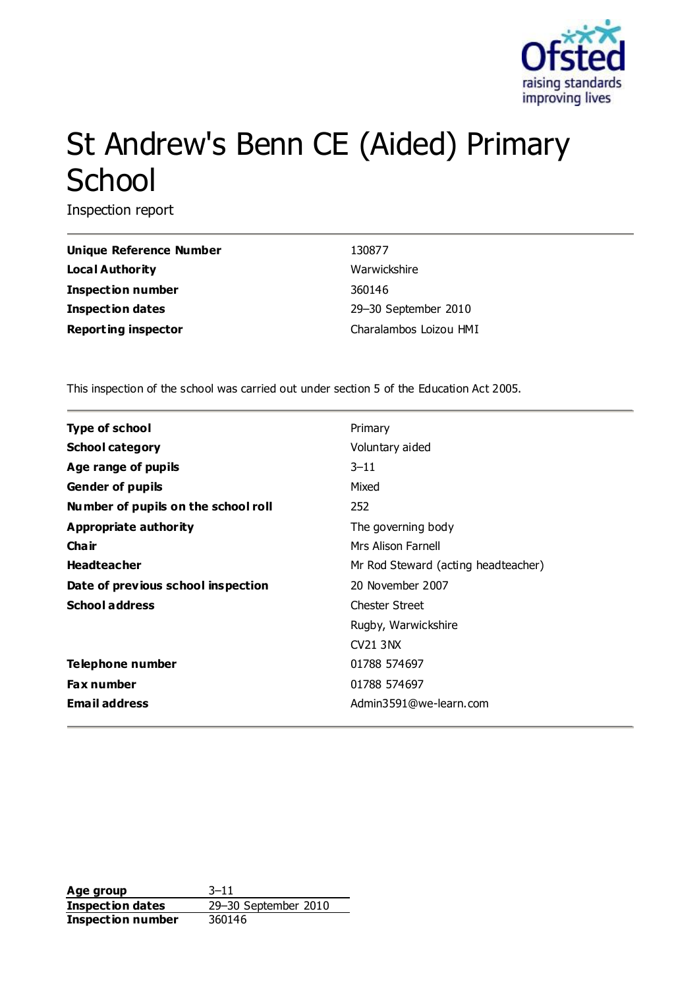

# St Andrew's Benn CE (Aided) Primary **School**

Inspection report

| <b>Unique Reference Number</b> | 130877                 |
|--------------------------------|------------------------|
| <b>Local Authority</b>         | Warwickshire           |
| <b>Inspection number</b>       | 360146                 |
| <b>Inspection dates</b>        | 29-30 September 2010   |
| <b>Reporting inspector</b>     | Charalambos Loizou HMI |

This inspection of the school was carried out under section 5 of the Education Act 2005.

| <b>Type of school</b>               | Primary                             |
|-------------------------------------|-------------------------------------|
| <b>School category</b>              | Voluntary aided                     |
| Age range of pupils                 | $3 - 11$                            |
| <b>Gender of pupils</b>             | Mixed                               |
| Number of pupils on the school roll | 252                                 |
| Appropriate authority               | The governing body                  |
| Cha ir                              | Mrs Alison Farnell                  |
| <b>Headteacher</b>                  | Mr Rod Steward (acting headteacher) |
| Date of previous school inspection  | 20 November 2007                    |
| <b>School address</b>               | <b>Chester Street</b>               |
|                                     | Rugby, Warwickshire                 |
|                                     | <b>CV21 3NX</b>                     |
| <b>Telephone number</b>             | 01788 574697                        |
| <b>Fax number</b>                   | 01788 574697                        |
| <b>Email address</b>                | Admin3591@we-learn.com              |
|                                     |                                     |

**Age group** 3-11<br> **Inspection dates** 29-30 September 2010 **Inspection dates Inspection number** 360146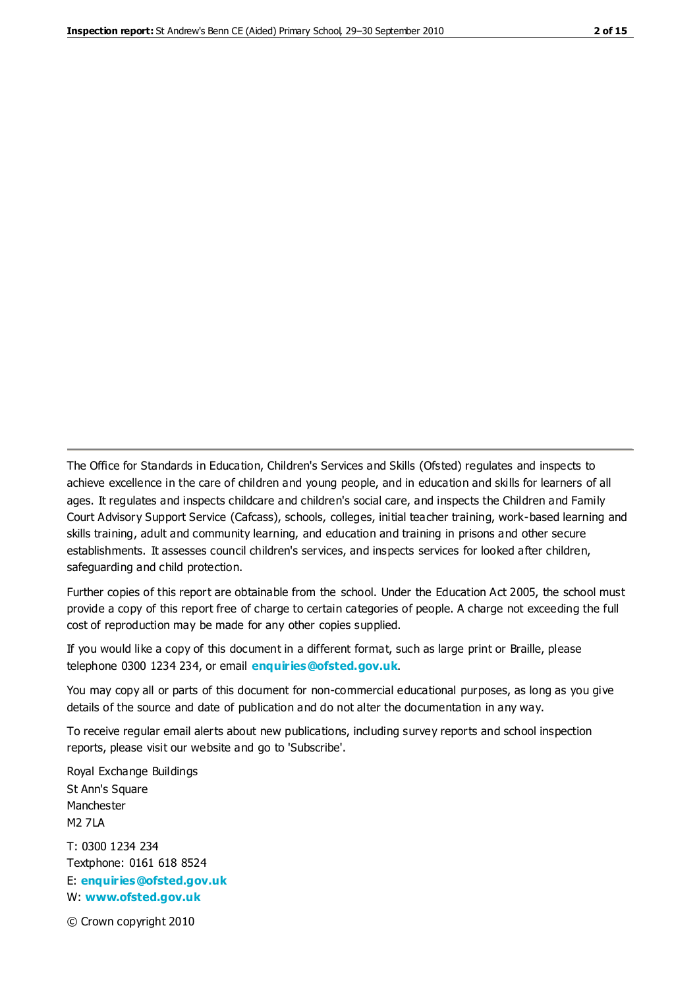The Office for Standards in Education, Children's Services and Skills (Ofsted) regulates and inspects to achieve excellence in the care of children and young people, and in education and skills for learners of all ages. It regulates and inspects childcare and children's social care, and inspects the Children and Family Court Advisory Support Service (Cafcass), schools, colleges, initial teacher training, work-based learning and skills training, adult and community learning, and education and training in prisons and other secure establishments. It assesses council children's services, and inspects services for looked after children, safeguarding and child protection.

Further copies of this report are obtainable from the school. Under the Education Act 2005, the school must provide a copy of this report free of charge to certain categories of people. A charge not exceeding the full cost of reproduction may be made for any other copies supplied.

If you would like a copy of this document in a different format, such as large print or Braille, please telephone 0300 1234 234, or email **[enquiries@ofsted.gov.uk](mailto:enquiries@ofsted.gov.uk)**.

You may copy all or parts of this document for non-commercial educational purposes, as long as you give details of the source and date of publication and do not alter the documentation in any way.

To receive regular email alerts about new publications, including survey reports and school inspection reports, please visit our website and go to 'Subscribe'.

Royal Exchange Buildings St Ann's Square Manchester M2 7LA T: 0300 1234 234 Textphone: 0161 618 8524 E: **[enquiries@ofsted.gov.uk](mailto:enquiries@ofsted.gov.uk)**

W: **[www.ofsted.gov.uk](http://www.ofsted.gov.uk/)**

© Crown copyright 2010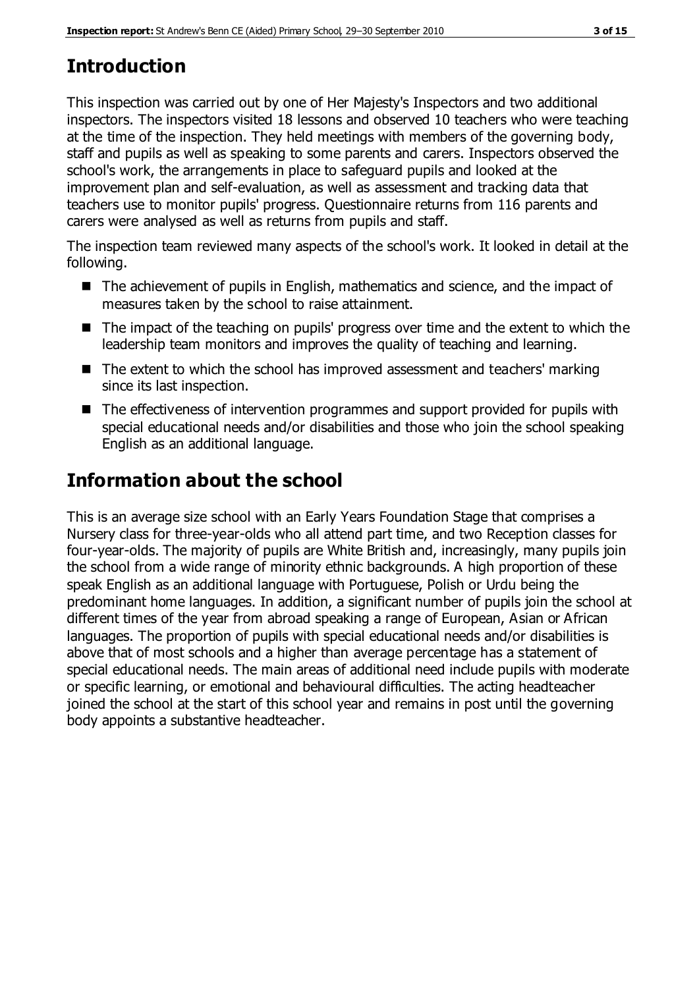# **Introduction**

This inspection was carried out by one of Her Majesty's Inspectors and two additional inspectors. The inspectors visited 18 lessons and observed 10 teachers who were teaching at the time of the inspection. They held meetings with members of the governing body, staff and pupils as well as speaking to some parents and carers. Inspectors observed the school's work, the arrangements in place to safeguard pupils and looked at the improvement plan and self-evaluation, as well as assessment and tracking data that teachers use to monitor pupils' progress. Questionnaire returns from 116 parents and carers were analysed as well as returns from pupils and staff.

The inspection team reviewed many aspects of the school's work. It looked in detail at the following.

- The achievement of pupils in English, mathematics and science, and the impact of measures taken by the school to raise attainment.
- The impact of the teaching on pupils' progress over time and the extent to which the leadership team monitors and improves the quality of teaching and learning.
- The extent to which the school has improved assessment and teachers' marking since its last inspection.
- The effectiveness of intervention programmes and support provided for pupils with special educational needs and/or disabilities and those who join the school speaking English as an additional language.

# **Information about the school**

This is an average size school with an Early Years Foundation Stage that comprises a Nursery class for three-year-olds who all attend part time, and two Reception classes for four-year-olds. The majority of pupils are White British and, increasingly, many pupils join the school from a wide range of minority ethnic backgrounds. A high proportion of these speak English as an additional language with Portuguese, Polish or Urdu being the predominant home languages. In addition, a significant number of pupils join the school at different times of the year from abroad speaking a range of European, Asian or African languages. The proportion of pupils with special educational needs and/or disabilities is above that of most schools and a higher than average percentage has a statement of special educational needs. The main areas of additional need include pupils with moderate or specific learning, or emotional and behavioural difficulties. The acting headteacher joined the school at the start of this school year and remains in post until the governing body appoints a substantive headteacher.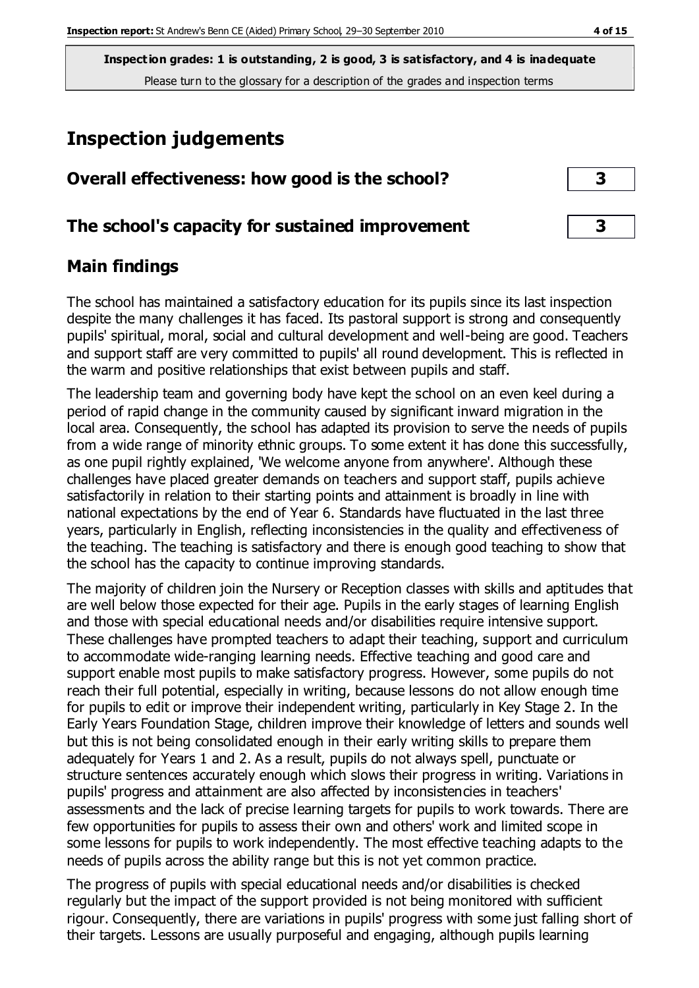## **Inspection judgements**

| Overall effectiveness: how good is the school?  |  |  |
|-------------------------------------------------|--|--|
| The school's capacity for sustained improvement |  |  |

## **Main findings**

The school has maintained a satisfactory education for its pupils since its last inspection despite the many challenges it has faced. Its pastoral support is strong and consequently pupils' spiritual, moral, social and cultural development and well-being are good. Teachers and support staff are very committed to pupils' all round development. This is reflected in the warm and positive relationships that exist between pupils and staff.

The leadership team and governing body have kept the school on an even keel during a period of rapid change in the community caused by significant inward migration in the local area. Consequently, the school has adapted its provision to serve the needs of pupils from a wide range of minority ethnic groups. To some extent it has done this successfully, as one pupil rightly explained, 'We welcome anyone from anywhere'. Although these challenges have placed greater demands on teachers and support staff, pupils achieve satisfactorily in relation to their starting points and attainment is broadly in line with national expectations by the end of Year 6. Standards have fluctuated in the last three years, particularly in English, reflecting inconsistencies in the quality and effectiveness of the teaching. The teaching is satisfactory and there is enough good teaching to show that the school has the capacity to continue improving standards.

The majority of children join the Nursery or Reception classes with skills and aptitudes that are well below those expected for their age. Pupils in the early stages of learning English and those with special educational needs and/or disabilities require intensive support. These challenges have prompted teachers to adapt their teaching, support and curriculum to accommodate wide-ranging learning needs. Effective teaching and good care and support enable most pupils to make satisfactory progress. However, some pupils do not reach their full potential, especially in writing, because lessons do not allow enough time for pupils to edit or improve their independent writing, particularly in Key Stage 2. In the Early Years Foundation Stage, children improve their knowledge of letters and sounds well but this is not being consolidated enough in their early writing skills to prepare them adequately for Years 1 and 2. As a result, pupils do not always spell, punctuate or structure sentences accurately enough which slows their progress in writing. Variations in pupils' progress and attainment are also affected by inconsistencies in teachers' assessments and the lack of precise learning targets for pupils to work towards. There are few opportunities for pupils to assess their own and others' work and limited scope in some lessons for pupils to work independently. The most effective teaching adapts to the needs of pupils across the ability range but this is not yet common practice.

The progress of pupils with special educational needs and/or disabilities is checked regularly but the impact of the support provided is not being monitored with sufficient rigour. Consequently, there are variations in pupils' progress with some just falling short of their targets. Lessons are usually purposeful and engaging, although pupils learning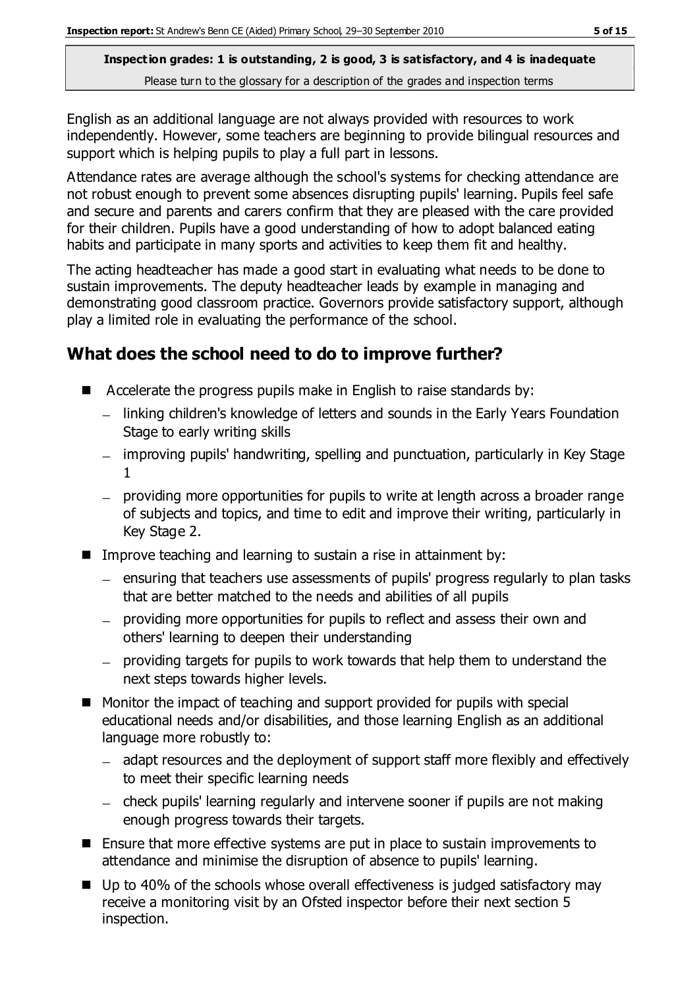English as an additional language are not always provided with resources to work independently. However, some teachers are beginning to provide bilingual resources and support which is helping pupils to play a full part in lessons.

Attendance rates are average although the school's systems for checking attendance are not robust enough to prevent some absences disrupting pupils' learning. Pupils feel safe and secure and parents and carers confirm that they are pleased with the care provided for their children. Pupils have a good understanding of how to adopt balanced eating habits and participate in many sports and activities to keep them fit and healthy.

The acting headteacher has made a good start in evaluating what needs to be done to sustain improvements. The deputy headteacher leads by example in managing and demonstrating good classroom practice. Governors provide satisfactory support, although play a limited role in evaluating the performance of the school.

## **What does the school need to do to improve further?**

- Accelerate the progress pupils make in English to raise standards by:
	- linking children's knowledge of letters and sounds in the Early Years Foundation Stage to early writing skills
	- improving pupils' handwriting, spelling and punctuation, particularly in Key Stage 1
	- providing more opportunities for pupils to write at length across a broader range of subjects and topics, and time to edit and improve their writing, particularly in Key Stage 2.
- Improve teaching and learning to sustain a rise in attainment by:
	- ensuring that teachers use assessments of pupils' progress regularly to plan tasks that are better matched to the needs and abilities of all pupils
	- providing more opportunities for pupils to reflect and assess their own and others' learning to deepen their understanding
	- providing targets for pupils to work towards that help them to understand the next steps towards higher levels.
- Monitor the impact of teaching and support provided for pupils with special educational needs and/or disabilities, and those learning English as an additional language more robustly to:
	- adapt resources and the deployment of support staff more flexibly and effectively to meet their specific learning needs
	- check pupils' learning regularly and intervene sooner if pupils are not making enough progress towards their targets.
- Ensure that more effective systems are put in place to sustain improvements to attendance and minimise the disruption of absence to pupils' learning.
- $\blacksquare$  Up to 40% of the schools whose overall effectiveness is judged satisfactory may receive a monitoring visit by an Ofsted inspector before their next section 5 inspection.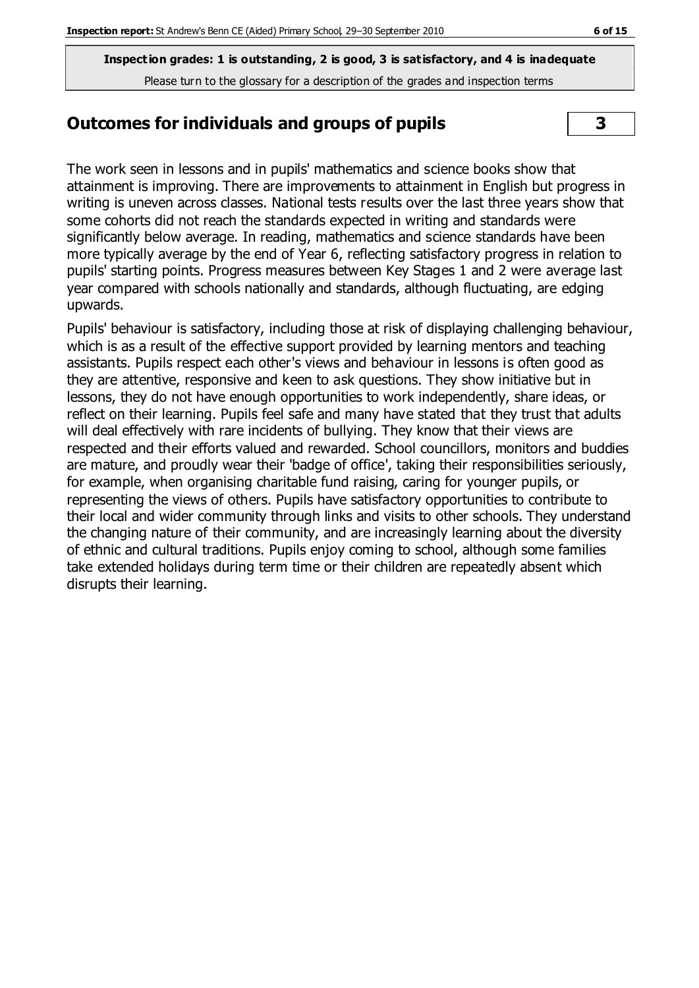### **Outcomes for individuals and groups of pupils 3**

The work seen in lessons and in pupils' mathematics and science books show that attainment is improving. There are improvements to attainment in English but progress in writing is uneven across classes. National tests results over the last three years show that some cohorts did not reach the standards expected in writing and standards were significantly below average. In reading, mathematics and science standards have been more typically average by the end of Year 6, reflecting satisfactory progress in relation to pupils' starting points. Progress measures between Key Stages 1 and 2 were average last year compared with schools nationally and standards, although fluctuating, are edging upwards.

Pupils' behaviour is satisfactory, including those at risk of displaying challenging behaviour, which is as a result of the effective support provided by learning mentors and teaching assistants. Pupils respect each other's views and behaviour in lessons is often good as they are attentive, responsive and keen to ask questions. They show initiative but in lessons, they do not have enough opportunities to work independently, share ideas, or reflect on their learning. Pupils feel safe and many have stated that they trust that adults will deal effectively with rare incidents of bullying. They know that their views are respected and their efforts valued and rewarded. School councillors, monitors and buddies are mature, and proudly wear their 'badge of office', taking their responsibilities seriously, for example, when organising charitable fund raising, caring for younger pupils, or representing the views of others. Pupils have satisfactory opportunities to contribute to their local and wider community through links and visits to other schools. They understand the changing nature of their community, and are increasingly learning about the diversity of ethnic and cultural traditions. Pupils enjoy coming to school, although some families take extended holidays during term time or their children are repeatedly absent which disrupts their learning.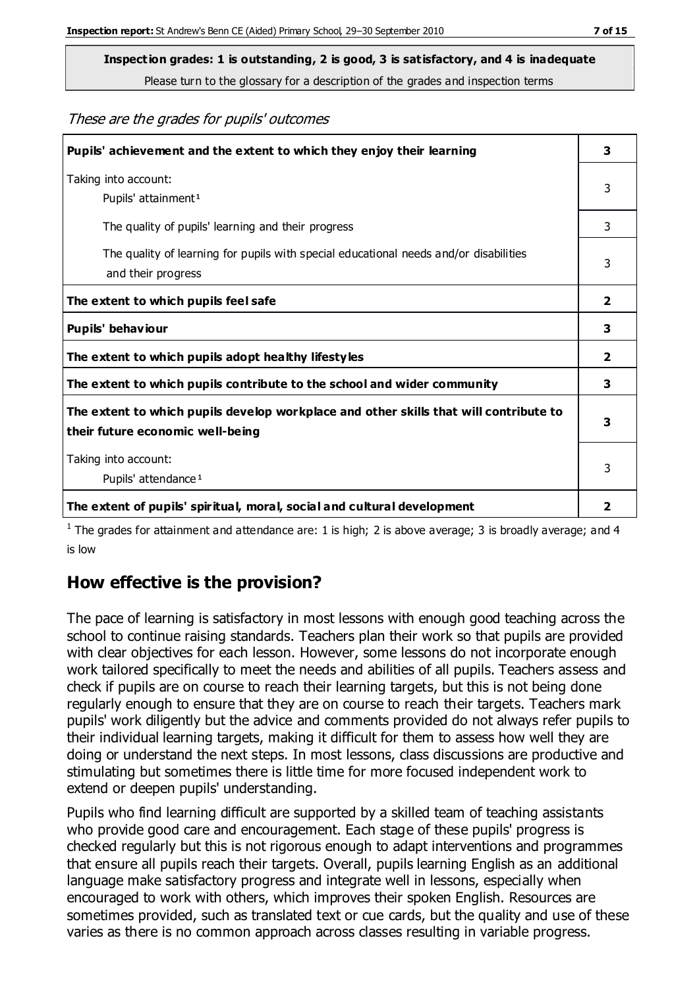**Inspection grades: 1 is outstanding, 2 is good, 3 is satisfactory, and 4 is inadequate**

Please turn to the glossary for a description of the grades and inspection terms

These are the grades for pupils' outcomes

| Pupils' achievement and the extent to which they enjoy their learning                                                     | 3              |
|---------------------------------------------------------------------------------------------------------------------------|----------------|
| Taking into account:<br>Pupils' attainment <sup>1</sup>                                                                   | 3              |
| The quality of pupils' learning and their progress                                                                        | 3              |
| The quality of learning for pupils with special educational needs and/or disabilities<br>and their progress               | 3              |
| The extent to which pupils feel safe                                                                                      | $\overline{2}$ |
| Pupils' behaviour                                                                                                         | 3              |
| The extent to which pupils adopt healthy lifestyles                                                                       | 2              |
| The extent to which pupils contribute to the school and wider community                                                   | 3              |
| The extent to which pupils develop workplace and other skills that will contribute to<br>their future economic well-being | 3              |
| Taking into account:<br>Pupils' attendance <sup>1</sup>                                                                   | 3              |
| The extent of pupils' spiritual, moral, social and cultural development                                                   | 2              |

<sup>1</sup> The grades for attainment and attendance are: 1 is high; 2 is above average; 3 is broadly average; and 4 is low

## **How effective is the provision?**

The pace of learning is satisfactory in most lessons with enough good teaching across the school to continue raising standards. Teachers plan their work so that pupils are provided with clear objectives for each lesson. However, some lessons do not incorporate enough work tailored specifically to meet the needs and abilities of all pupils. Teachers assess and check if pupils are on course to reach their learning targets, but this is not being done regularly enough to ensure that they are on course to reach their targets. Teachers mark pupils' work diligently but the advice and comments provided do not always refer pupils to their individual learning targets, making it difficult for them to assess how well they are doing or understand the next steps. In most lessons, class discussions are productive and stimulating but sometimes there is little time for more focused independent work to extend or deepen pupils' understanding.

Pupils who find learning difficult are supported by a skilled team of teaching assistants who provide good care and encouragement. Each stage of these pupils' progress is checked regularly but this is not rigorous enough to adapt interventions and programmes that ensure all pupils reach their targets. Overall, pupils learning English as an additional language make satisfactory progress and integrate well in lessons, especially when encouraged to work with others, which improves their spoken English. Resources are sometimes provided, such as translated text or cue cards, but the quality and use of these varies as there is no common approach across classes resulting in variable progress.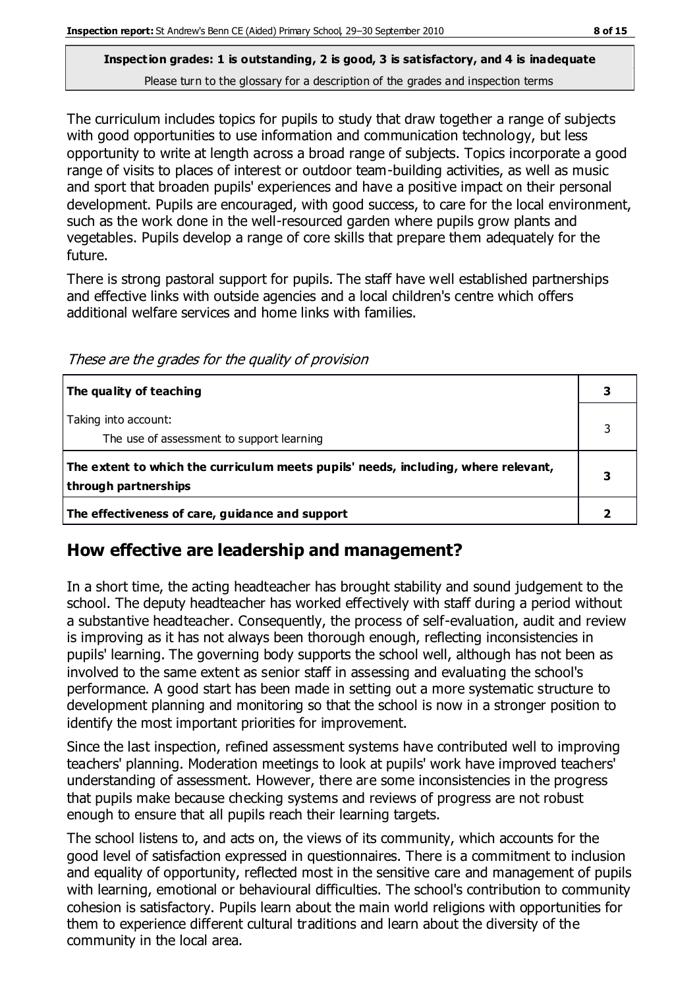The curriculum includes topics for pupils to study that draw together a range of subjects with good opportunities to use information and communication technology, but less opportunity to write at length across a broad range of subjects. Topics incorporate a good range of visits to places of interest or outdoor team-building activities, as well as music and sport that broaden pupils' experiences and have a positive impact on their personal development. Pupils are encouraged, with good success, to care for the local environment, such as the work done in the well-resourced garden where pupils grow plants and vegetables. Pupils develop a range of core skills that prepare them adequately for the future.

There is strong pastoral support for pupils. The staff have well established partnerships and effective links with outside agencies and a local children's centre which offers additional welfare services and home links with families.

These are the grades for the quality of provision

| The quality of teaching                                                                                    |  |
|------------------------------------------------------------------------------------------------------------|--|
| Taking into account:<br>The use of assessment to support learning                                          |  |
| The extent to which the curriculum meets pupils' needs, including, where relevant,<br>through partnerships |  |
| The effectiveness of care, guidance and support                                                            |  |

## **How effective are leadership and management?**

In a short time, the acting headteacher has brought stability and sound judgement to the school. The deputy headteacher has worked effectively with staff during a period without a substantive headteacher. Consequently, the process of self-evaluation, audit and review is improving as it has not always been thorough enough, reflecting inconsistencies in pupils' learning. The governing body supports the school well, although has not been as involved to the same extent as senior staff in assessing and evaluating the school's performance. A good start has been made in setting out a more systematic structure to development planning and monitoring so that the school is now in a stronger position to identify the most important priorities for improvement.

Since the last inspection, refined assessment systems have contributed well to improving teachers' planning. Moderation meetings to look at pupils' work have improved teachers' understanding of assessment. However, there are some inconsistencies in the progress that pupils make because checking systems and reviews of progress are not robust enough to ensure that all pupils reach their learning targets.

The school listens to, and acts on, the views of its community, which accounts for the good level of satisfaction expressed in questionnaires. There is a commitment to inclusion and equality of opportunity, reflected most in the sensitive care and management of pupils with learning, emotional or behavioural difficulties. The school's contribution to community cohesion is satisfactory. Pupils learn about the main world religions with opportunities for them to experience different cultural traditions and learn about the diversity of the community in the local area.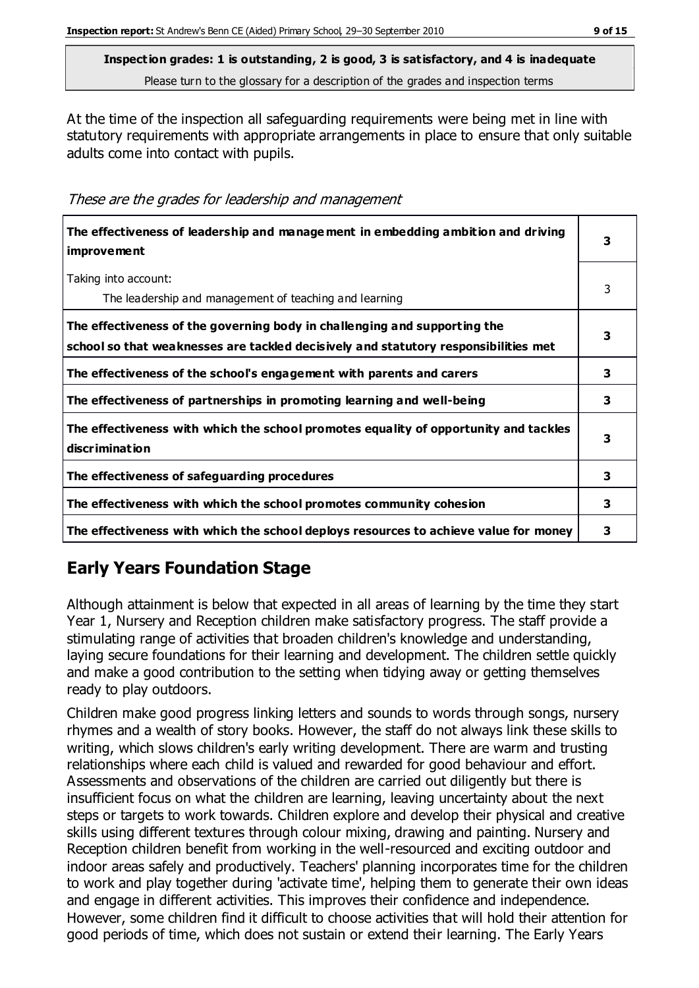At the time of the inspection all safeguarding requirements were being met in line with statutory requirements with appropriate arrangements in place to ensure that only suitable adults come into contact with pupils.

These are the grades for leadership and management

| The effectiveness of leadership and management in embedding ambition and driving<br><i>improvement</i>                                                           |   |
|------------------------------------------------------------------------------------------------------------------------------------------------------------------|---|
| Taking into account:<br>The leadership and management of teaching and learning                                                                                   | 3 |
| The effectiveness of the governing body in challenging and supporting the<br>school so that weaknesses are tackled decisively and statutory responsibilities met | 3 |
| The effectiveness of the school's engagement with parents and carers                                                                                             | 3 |
| The effectiveness of partnerships in promoting learning and well-being                                                                                           | 3 |
| The effectiveness with which the school promotes equality of opportunity and tackles<br>discrimination                                                           | 3 |
| The effectiveness of safeguarding procedures                                                                                                                     | 3 |
| The effectiveness with which the school promotes community cohesion                                                                                              | 3 |
| The effectiveness with which the school deploys resources to achieve value for money                                                                             | 3 |

## **Early Years Foundation Stage**

Although attainment is below that expected in all areas of learning by the time they start Year 1, Nursery and Reception children make satisfactory progress. The staff provide a stimulating range of activities that broaden children's knowledge and understanding, laying secure foundations for their learning and development. The children settle quickly and make a good contribution to the setting when tidying away or getting themselves ready to play outdoors.

Children make good progress linking letters and sounds to words through songs, nursery rhymes and a wealth of story books. However, the staff do not always link these skills to writing, which slows children's early writing development. There are warm and trusting relationships where each child is valued and rewarded for good behaviour and effort. Assessments and observations of the children are carried out diligently but there is insufficient focus on what the children are learning, leaving uncertainty about the next steps or targets to work towards. Children explore and develop their physical and creative skills using different textures through colour mixing, drawing and painting. Nursery and Reception children benefit from working in the well-resourced and exciting outdoor and indoor areas safely and productively. Teachers' planning incorporates time for the children to work and play together during 'activate time', helping them to generate their own ideas and engage in different activities. This improves their confidence and independence. However, some children find it difficult to choose activities that will hold their attention for good periods of time, which does not sustain or extend their learning. The Early Years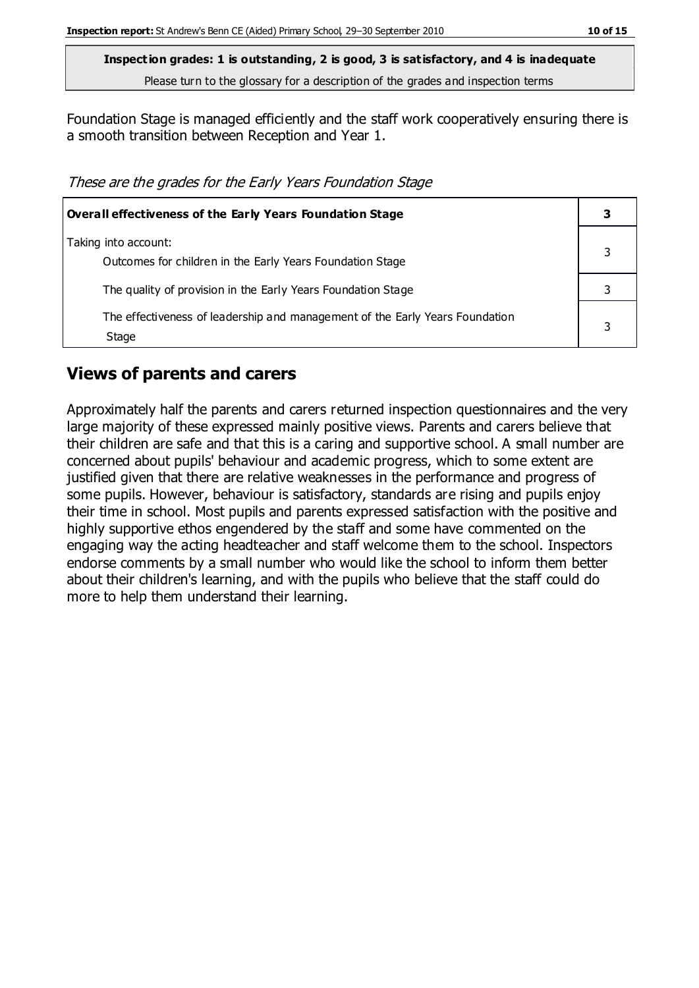Foundation Stage is managed efficiently and the staff work cooperatively ensuring there is a smooth transition between Reception and Year 1.

These are the grades for the Early Years Foundation Stage

| <b>Overall effectiveness of the Early Years Foundation Stage</b>                      |  |
|---------------------------------------------------------------------------------------|--|
| Taking into account:<br>Outcomes for children in the Early Years Foundation Stage     |  |
| The quality of provision in the Early Years Foundation Stage                          |  |
| The effectiveness of leadership and management of the Early Years Foundation<br>Stage |  |

#### **Views of parents and carers**

Approximately half the parents and carers returned inspection questionnaires and the very large majority of these expressed mainly positive views. Parents and carers believe that their children are safe and that this is a caring and supportive school. A small number are concerned about pupils' behaviour and academic progress, which to some extent are justified given that there are relative weaknesses in the performance and progress of some pupils. However, behaviour is satisfactory, standards are rising and pupils enjoy their time in school. Most pupils and parents expressed satisfaction with the positive and highly supportive ethos engendered by the staff and some have commented on the engaging way the acting headteacher and staff welcome them to the school. Inspectors endorse comments by a small number who would like the school to inform them better about their children's learning, and with the pupils who believe that the staff could do more to help them understand their learning.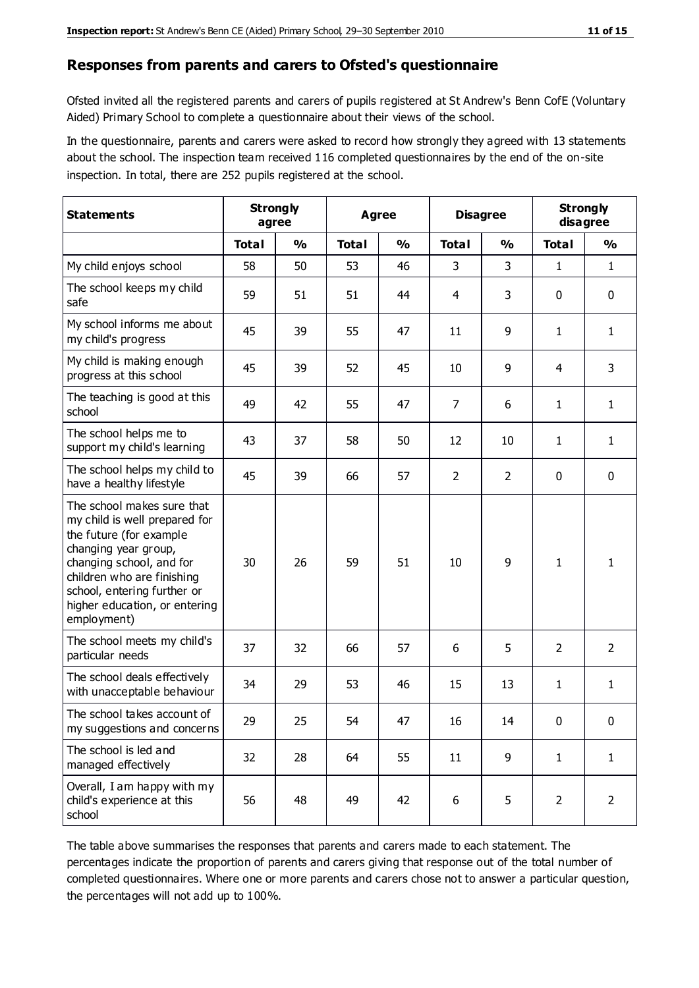#### **Responses from parents and carers to Ofsted's questionnaire**

Ofsted invited all the registered parents and carers of pupils registered at St Andrew's Benn CofE (Voluntary Aided) Primary School to complete a questionnaire about their views of the school.

In the questionnaire, parents and carers were asked to record how strongly they agreed with 13 statements about the school. The inspection team received 116 completed questionnaires by the end of the on-site inspection. In total, there are 252 pupils registered at the school.

| <b>Statements</b>                                                                                                                                                                                                                                       | <b>Strongly</b><br>agree |               | Agree        | <b>Disagree</b> |                | <b>Strongly</b><br>disagree |                |                |
|---------------------------------------------------------------------------------------------------------------------------------------------------------------------------------------------------------------------------------------------------------|--------------------------|---------------|--------------|-----------------|----------------|-----------------------------|----------------|----------------|
|                                                                                                                                                                                                                                                         | <b>Total</b>             | $\frac{1}{2}$ | <b>Total</b> | $\frac{0}{0}$   | <b>Total</b>   | $\frac{0}{0}$               | <b>Total</b>   | $\frac{1}{2}$  |
| My child enjoys school                                                                                                                                                                                                                                  | 58                       | 50            | 53           | 46              | 3              | 3                           | $\mathbf{1}$   | $\mathbf{1}$   |
| The school keeps my child<br>safe                                                                                                                                                                                                                       | 59                       | 51            | 51           | 44              | 4              | 3                           | $\mathbf 0$    | $\mathbf 0$    |
| My school informs me about<br>my child's progress                                                                                                                                                                                                       | 45                       | 39            | 55           | 47              | 11             | 9                           | $\mathbf{1}$   | $\mathbf{1}$   |
| My child is making enough<br>progress at this school                                                                                                                                                                                                    | 45                       | 39            | 52           | 45              | 10             | 9                           | 4              | 3              |
| The teaching is good at this<br>school                                                                                                                                                                                                                  | 49                       | 42            | 55           | 47              | $\overline{7}$ | 6                           | 1              | $\mathbf{1}$   |
| The school helps me to<br>support my child's learning                                                                                                                                                                                                   | 43                       | 37            | 58           | 50              | 12             | 10                          | 1              | $\mathbf{1}$   |
| The school helps my child to<br>have a healthy lifestyle                                                                                                                                                                                                | 45                       | 39            | 66           | 57              | $\overline{2}$ | $\overline{2}$              | $\mathbf 0$    | $\mathbf 0$    |
| The school makes sure that<br>my child is well prepared for<br>the future (for example<br>changing year group,<br>changing school, and for<br>children who are finishing<br>school, entering further or<br>higher education, or entering<br>employment) | 30                       | 26            | 59           | 51              | 10             | 9                           | $\mathbf{1}$   | 1              |
| The school meets my child's<br>particular needs                                                                                                                                                                                                         | 37                       | 32            | 66           | 57              | 6              | 5                           | 2              | $\overline{2}$ |
| The school deals effectively<br>with unacceptable behaviour                                                                                                                                                                                             | 34                       | 29            | 53           | 46              | 15             | 13                          | 1              | $\mathbf{1}$   |
| The school takes account of<br>my suggestions and concerns                                                                                                                                                                                              | 29                       | 25            | 54           | 47              | 16             | 14                          | $\mathbf{0}$   | 0              |
| The school is led and<br>managed effectively                                                                                                                                                                                                            | 32                       | 28            | 64           | 55              | 11             | 9                           | $\mathbf{1}$   | $\mathbf{1}$   |
| Overall, I am happy with my<br>child's experience at this<br>school                                                                                                                                                                                     | 56                       | 48            | 49           | 42              | 6              | 5                           | $\overline{2}$ | $\overline{2}$ |

The table above summarises the responses that parents and carers made to each statement. The percentages indicate the proportion of parents and carers giving that response out of the total number of completed questionnaires. Where one or more parents and carers chose not to answer a particular question, the percentages will not add up to 100%.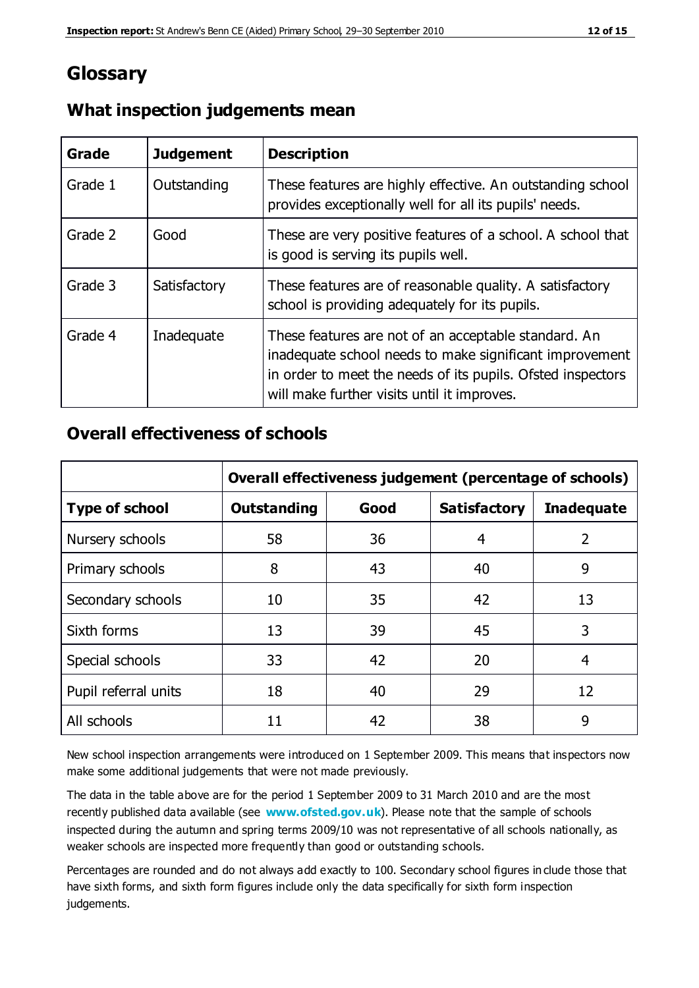## **Glossary**

| Grade   | <b>Judgement</b> | <b>Description</b>                                                                                                                                                                                                            |
|---------|------------------|-------------------------------------------------------------------------------------------------------------------------------------------------------------------------------------------------------------------------------|
| Grade 1 | Outstanding      | These features are highly effective. An outstanding school<br>provides exceptionally well for all its pupils' needs.                                                                                                          |
| Grade 2 | Good             | These are very positive features of a school. A school that<br>is good is serving its pupils well.                                                                                                                            |
| Grade 3 | Satisfactory     | These features are of reasonable quality. A satisfactory<br>school is providing adequately for its pupils.                                                                                                                    |
| Grade 4 | Inadequate       | These features are not of an acceptable standard. An<br>inadequate school needs to make significant improvement<br>in order to meet the needs of its pupils. Ofsted inspectors<br>will make further visits until it improves. |

## **What inspection judgements mean**

## **Overall effectiveness of schools**

|                       | Overall effectiveness judgement (percentage of schools) |      |                     |                   |
|-----------------------|---------------------------------------------------------|------|---------------------|-------------------|
| <b>Type of school</b> | <b>Outstanding</b>                                      | Good | <b>Satisfactory</b> | <b>Inadequate</b> |
| Nursery schools       | 58                                                      | 36   | 4                   | 2                 |
| Primary schools       | 8                                                       | 43   | 40                  | 9                 |
| Secondary schools     | 10                                                      | 35   | 42                  | 13                |
| Sixth forms           | 13                                                      | 39   | 45                  | 3                 |
| Special schools       | 33                                                      | 42   | 20                  | 4                 |
| Pupil referral units  | 18                                                      | 40   | 29                  | 12                |
| All schools           | 11                                                      | 42   | 38                  | 9                 |

New school inspection arrangements were introduced on 1 September 2009. This means that inspectors now make some additional judgements that were not made previously.

The data in the table above are for the period 1 September 2009 to 31 March 2010 and are the most recently published data available (see **[www.ofsted.gov.uk](http://www.ofsted.gov.uk/)**). Please note that the sample of schools inspected during the autumn and spring terms 2009/10 was not representative of all schools nationally, as weaker schools are inspected more frequently than good or outstanding schools.

Percentages are rounded and do not always add exactly to 100. Secondary school figures in clude those that have sixth forms, and sixth form figures include only the data specifically for sixth form inspection judgements.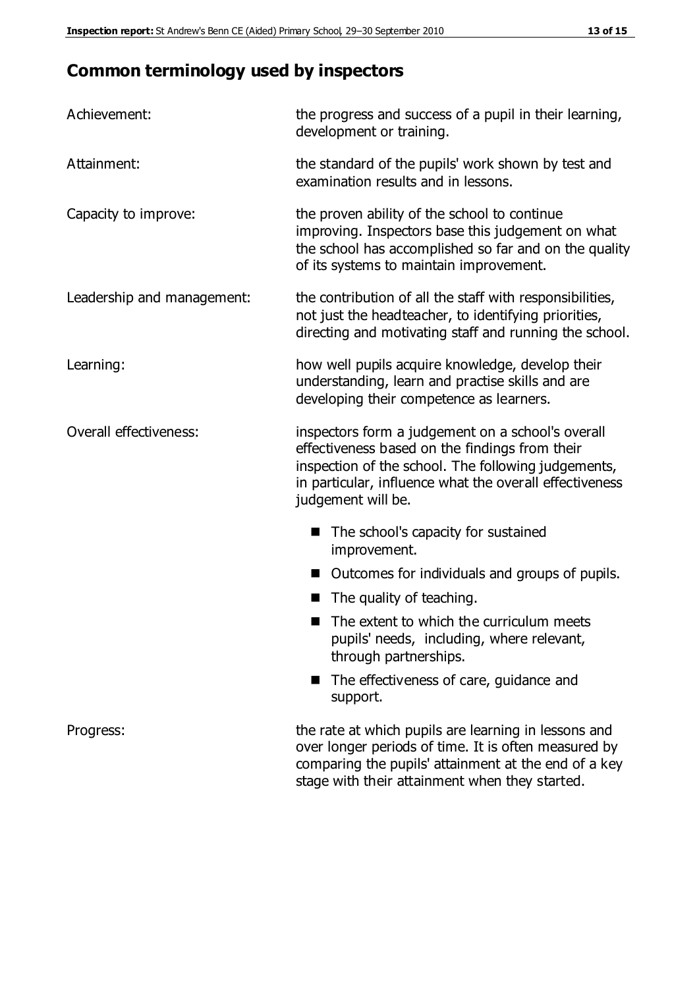## **Common terminology used by inspectors**

| Achievement:                  | the progress and success of a pupil in their learning,<br>development or training.                                                                                                                                                          |  |  |
|-------------------------------|---------------------------------------------------------------------------------------------------------------------------------------------------------------------------------------------------------------------------------------------|--|--|
| Attainment:                   | the standard of the pupils' work shown by test and<br>examination results and in lessons.                                                                                                                                                   |  |  |
| Capacity to improve:          | the proven ability of the school to continue<br>improving. Inspectors base this judgement on what<br>the school has accomplished so far and on the quality<br>of its systems to maintain improvement.                                       |  |  |
| Leadership and management:    | the contribution of all the staff with responsibilities,<br>not just the headteacher, to identifying priorities,<br>directing and motivating staff and running the school.                                                                  |  |  |
| Learning:                     | how well pupils acquire knowledge, develop their<br>understanding, learn and practise skills and are<br>developing their competence as learners.                                                                                            |  |  |
| <b>Overall effectiveness:</b> | inspectors form a judgement on a school's overall<br>effectiveness based on the findings from their<br>inspection of the school. The following judgements,<br>in particular, influence what the overall effectiveness<br>judgement will be. |  |  |
|                               | The school's capacity for sustained<br>improvement.                                                                                                                                                                                         |  |  |
|                               | Outcomes for individuals and groups of pupils.                                                                                                                                                                                              |  |  |
|                               | The quality of teaching.                                                                                                                                                                                                                    |  |  |
|                               | The extent to which the curriculum meets<br>pupils' needs, including, where relevant,<br>through partnerships.                                                                                                                              |  |  |
|                               | The effectiveness of care, guidance and<br>support.                                                                                                                                                                                         |  |  |
| Progress:                     | the rate at which pupils are learning in lessons and<br>over longer periods of time. It is often measured by<br>comparing the pupils' attainment at the end of a key                                                                        |  |  |

stage with their attainment when they started.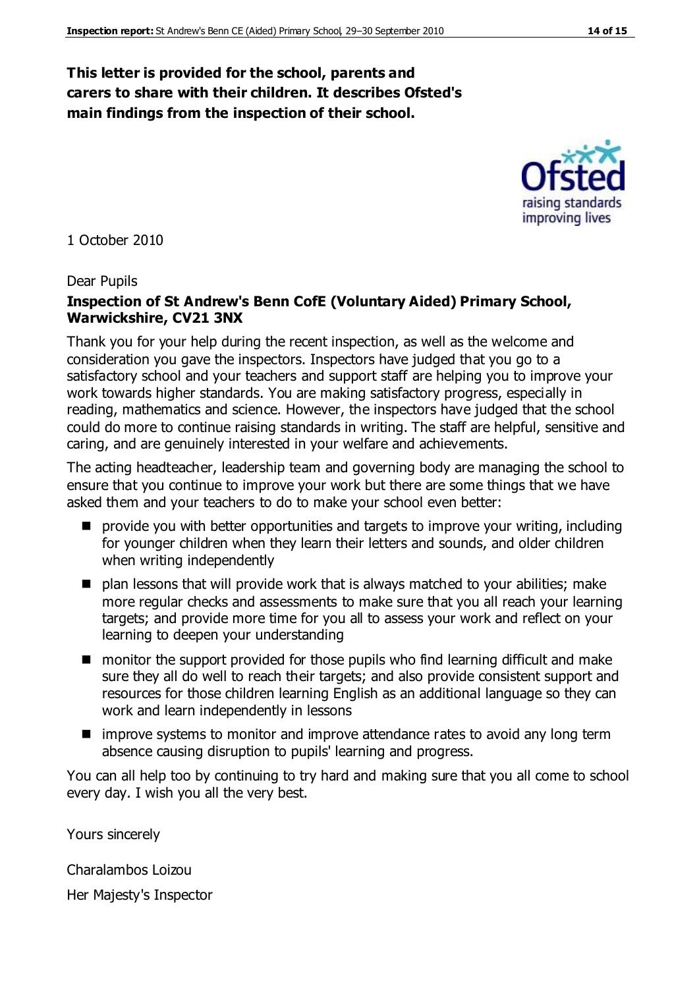#### **This letter is provided for the school, parents and carers to share with their children. It describes Ofsted's main findings from the inspection of their school.**

1 October 2010

#### Dear Pupils

#### **Inspection of St Andrew's Benn CofE (Voluntary Aided) Primary School, Warwickshire, CV21 3NX**

Thank you for your help during the recent inspection, as well as the welcome and consideration you gave the inspectors. Inspectors have judged that you go to a satisfactory school and your teachers and support staff are helping you to improve your work towards higher standards. You are making satisfactory progress, especially in reading, mathematics and science. However, the inspectors have judged that the school could do more to continue raising standards in writing. The staff are helpful, sensitive and caring, and are genuinely interested in your welfare and achievements.

The acting headteacher, leadership team and governing body are managing the school to ensure that you continue to improve your work but there are some things that we have asked them and your teachers to do to make your school even better:

- **P** provide you with better opportunities and targets to improve your writing, including for younger children when they learn their letters and sounds, and older children when writing independently
- plan lessons that will provide work that is always matched to your abilities; make more regular checks and assessments to make sure that you all reach your learning targets; and provide more time for you all to assess your work and reflect on your learning to deepen your understanding
- monitor the support provided for those pupils who find learning difficult and make sure they all do well to reach their targets; and also provide consistent support and resources for those children learning English as an additional language so they can work and learn independently in lessons
- improve systems to monitor and improve attendance rates to avoid any long term absence causing disruption to pupils' learning and progress.

You can all help too by continuing to try hard and making sure that you all come to school every day. I wish you all the very best.

Yours sincerely

Charalambos Loizou

Her Majesty's Inspector